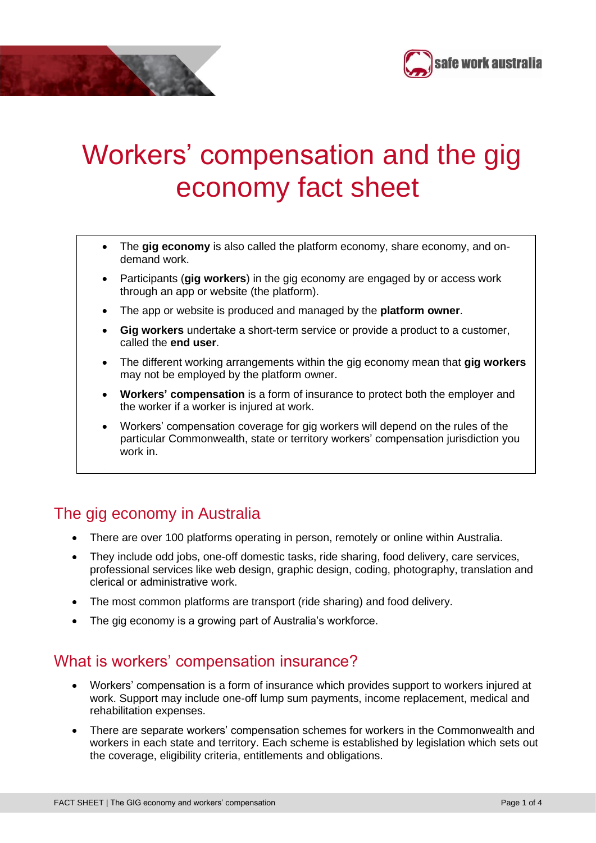



- The **gig economy** is also called the platform economy, share economy, and ondemand work.
- Participants (**gig workers**) in the gig economy are engaged by or access work through an app or website (the platform).
- The app or website is produced and managed by the **platform owner**.
- **Gig workers** undertake a short-term service or provide a product to a customer, called the **end user**.
- The different working arrangements within the gig economy mean that **gig workers** may not be employed by the platform owner.
- **Workers' compensation** is a form of insurance to protect both the employer and the worker if a worker is injured at work.
- Workers' compensation coverage for gig workers will depend on the rules of the particular Commonwealth, state or territory workers' compensation jurisdiction you work in.

## The gig economy in Australia

•

- There are over 100 platforms operating in person, remotely or online within Australia.
- They include odd jobs, one-off domestic tasks, ride sharing, food delivery, care services, professional services like web design, graphic design, coding, photography, translation and clerical or administrative work.
- The most common platforms are transport (ride sharing) and food delivery.
- The gig economy is a growing part of Australia's workforce.

## What is workers' compensation insurance?

- Workers' compensation is a form of insurance which provides support to workers injured at work. Support may include one-off lump sum payments, income replacement, medical and rehabilitation expenses.
- There are separate workers' compensation schemes for workers in the Commonwealth and workers in each state and territory. Each scheme is established by legislation which sets out the coverage, eligibility criteria, entitlements and obligations.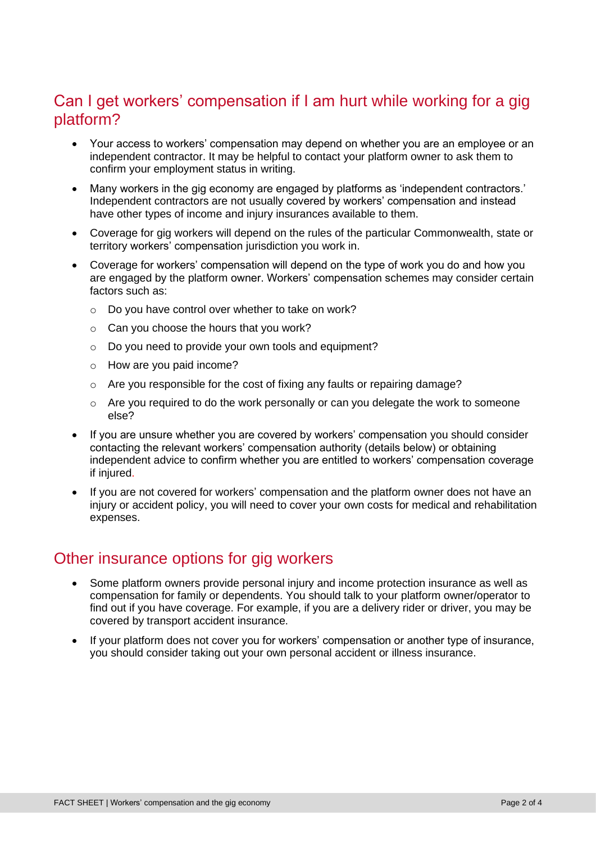# Can I get workers' compensation if I am hurt while working for a gig platform?

- Your access to workers' compensation may depend on whether you are an employee or an independent contractor. It may be helpful to contact your platform owner to ask them to confirm your employment status in writing.
- Many workers in the gig economy are engaged by platforms as 'independent contractors.' Independent contractors are not usually covered by workers' compensation and instead have other types of income and injury insurances available to them.
- Coverage for gig workers will depend on the rules of the particular Commonwealth, state or territory workers' compensation jurisdiction you work in.
- Coverage for workers' compensation will depend on the type of work you do and how you are engaged by the platform owner. Workers' compensation schemes may consider certain factors such as:
	- o Do you have control over whether to take on work?
	- $\circ$  Can you choose the hours that you work?
	- o Do you need to provide your own tools and equipment?
	- o How are you paid income?
	- o Are you responsible for the cost of fixing any faults or repairing damage?
	- o Are you required to do the work personally or can you delegate the work to someone else?
- If you are unsure whether you are covered by workers' compensation you should consider contacting the relevant workers' compensation authority (details below) or obtaining independent advice to confirm whether you are entitled to workers' compensation coverage if injured.
- If you are not covered for workers' compensation and the platform owner does not have an injury or accident policy, you will need to cover your own costs for medical and rehabilitation expenses.

## Other insurance options for gig workers

- Some platform owners provide personal injury and income protection insurance as well as compensation for family or dependents. You should talk to your platform owner/operator to find out if you have coverage. For example, if you are a delivery rider or driver, you may be covered by transport accident insurance.
- If your platform does not cover you for workers' compensation or another type of insurance, you should consider taking out your own personal accident or illness insurance.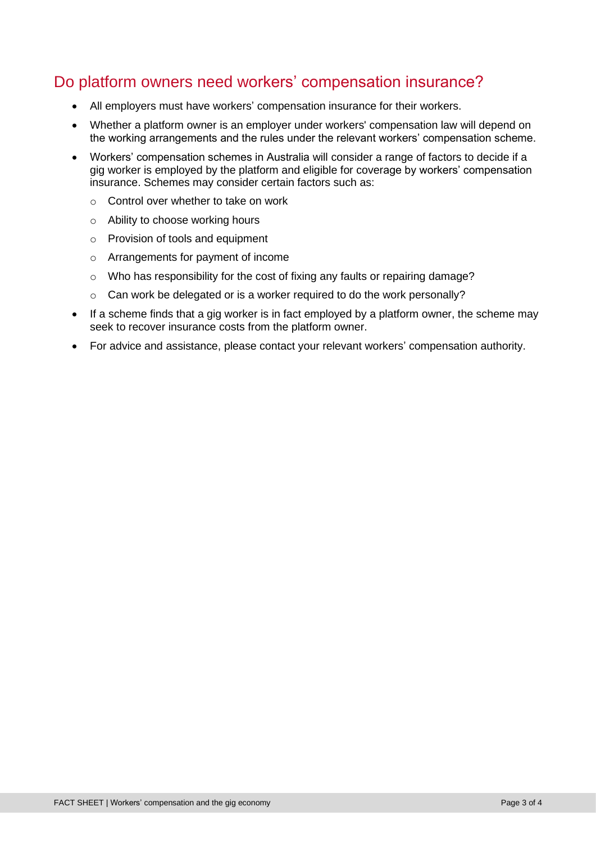# Do platform owners need workers' compensation insurance?

- All employers must have workers' compensation insurance for their workers.
- Whether a platform owner is an employer under workers' compensation law will depend on the working arrangements and the rules under the relevant workers' compensation scheme.
- Workers' compensation schemes in Australia will consider a range of factors to decide if a gig worker is employed by the platform and eligible for coverage by workers' compensation insurance. Schemes may consider certain factors such as:
	- o Control over whether to take on work
	- o Ability to choose working hours
	- o Provision of tools and equipment
	- o Arrangements for payment of income
	- o Who has responsibility for the cost of fixing any faults or repairing damage?
	- $\circ$  Can work be delegated or is a worker required to do the work personally?
- If a scheme finds that a gig worker is in fact employed by a platform owner, the scheme may seek to recover insurance costs from the platform owner.
- For advice and assistance, please contact your relevant workers' compensation authority.